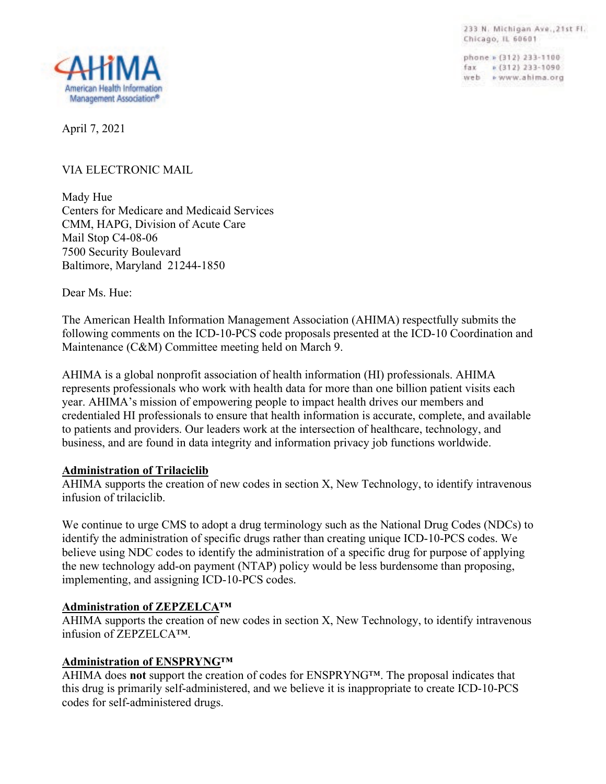233 N. Michigan Ave., 21st Fl. Chicago, IL 60601

phone » (312) 233-1100 fax = (312) 233-1090 web » www.ahima.org



April 7, 2021

# VIA ELECTRONIC MAIL

Mady Hue Centers for Medicare and Medicaid Services CMM, HAPG, Division of Acute Care Mail Stop C4-08-06 7500 Security Boulevard Baltimore, Maryland 21244-1850

Dear Ms. Hue:

The American Health Information Management Association (AHIMA) respectfully submits the following comments on the ICD-10-PCS code proposals presented at the ICD-10 Coordination and Maintenance (C&M) Committee meeting held on March 9.

AHIMA is a global nonprofit association of health information (HI) professionals. AHIMA represents professionals who work with health data for more than one billion patient visits each year. AHIMA's mission of empowering people to impact health drives our members and credentialed HI professionals to ensure that health information is accurate, complete, and available to patients and providers. Our leaders work at the intersection of healthcare, technology, and business, and are found in data integrity and information privacy job functions worldwide.

# **Administration of Trilaciclib**

AHIMA supports the creation of new codes in section X, New Technology, to identify intravenous infusion of trilaciclib.

We continue to urge CMS to adopt a drug terminology such as the National Drug Codes (NDCs) to identify the administration of specific drugs rather than creating unique ICD-10-PCS codes. We believe using NDC codes to identify the administration of a specific drug for purpose of applying the new technology add-on payment (NTAP) policy would be less burdensome than proposing, implementing, and assigning ICD-10-PCS codes.

# **Administration of ZEPZELCA™**

AHIMA supports the creation of new codes in section X, New Technology, to identify intravenous infusion of ZEPZELCA™.

# **Administration of ENSPRYNG™**

AHIMA does **not** support the creation of codes for ENSPRYNG™. The proposal indicates that this drug is primarily self-administered, and we believe it is inappropriate to create ICD-10-PCS codes for self-administered drugs.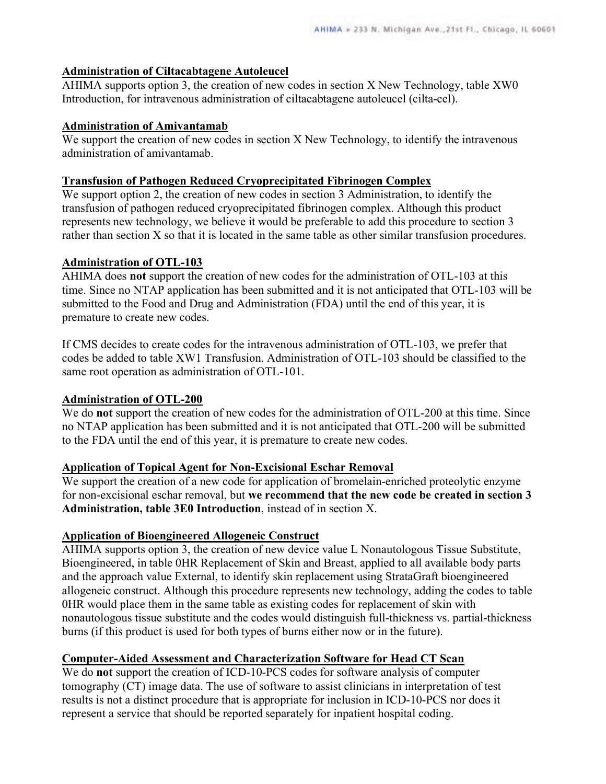### **Administration of Ciltacabtagene Autoleucel**

AHIMA supports option 3, the creation of new codes in section X New Technology, table XW0 Introduction, for intravenous administration of ciltacabtagene autoleucel (cilta-cel).

#### **Administration of Amivantamab**

We support the creation of new codes in section X New Technology, to identify the intravenous administration of amivantamab.

### **Transfusion of Pathogen Reduced Cryoprecipitated Fibrinogen Complex**

We support option 2, the creation of new codes in section 3 Administration, to identify the transfusion of pathogen reduced cryoprecipitated fibrinogen complex. Although this product represents new technology, we believe it would be preferable to add this procedure to section 3 rather than section X so that it is located in the same table as other similar transfusion procedures.

### **Administration of OTL-103**

AHIMA does **not** support the creation of new codes for the administration of OTL-103 at this time. Since no NTAP application has been submitted and it is not anticipated that OTL-103 will be submitted to the Food and Drug and Administration (FDA) until the end of this year, it is premature to create new codes.

If CMS decides to create codes for the intravenous administration of OTL-103, we prefer that codes be added to table XW1 Transfusion. Administration of OTL-103 should be classified to the same root operation as administration of OTL-101.

#### **Administration of OTL-200**

We do **not** support the creation of new codes for the administration of OTL-200 at this time. Since no NTAP application has been submitted and it is not anticipated that OTL-200 will be submitted to the FDA until the end of this year, it is premature to create new codes.

#### **Application of Topical Agent for Non-Excisional Eschar Removal**

We support the creation of a new code for application of bromelain-enriched proteolytic enzyme for non-excisional eschar removal, but **we recommend that the new code be created in section 3 Administration, table 3E0 Introduction**, instead of in section X.

# **Application of Bioengineered Allogeneic Construct**

AHIMA supports option 3, the creation of new device value L Nonautologous Tissue Substitute, Bioengineered, in table 0HR Replacement of Skin and Breast, applied to all available body parts and the approach value External, to identify skin replacement using StrataGraft bioengineered allogeneic construct. Although this procedure represents new technology, adding the codes to table 0HR would place them in the same table as existing codes for replacement of skin with nonautologous tissue substitute and the codes would distinguish full-thickness vs. partial-thickness burns (if this product is used for both types of burns either now or in the future).

# **Computer-Aided Assessment and Characterization Software for Head CT Scan**

We do **not** support the creation of ICD-10-PCS codes for software analysis of computer tomography (CT) image data. The use of software to assist clinicians in interpretation of test results is not a distinct procedure that is appropriate for inclusion in ICD-10-PCS nor does it represent a service that should be reported separately for inpatient hospital coding.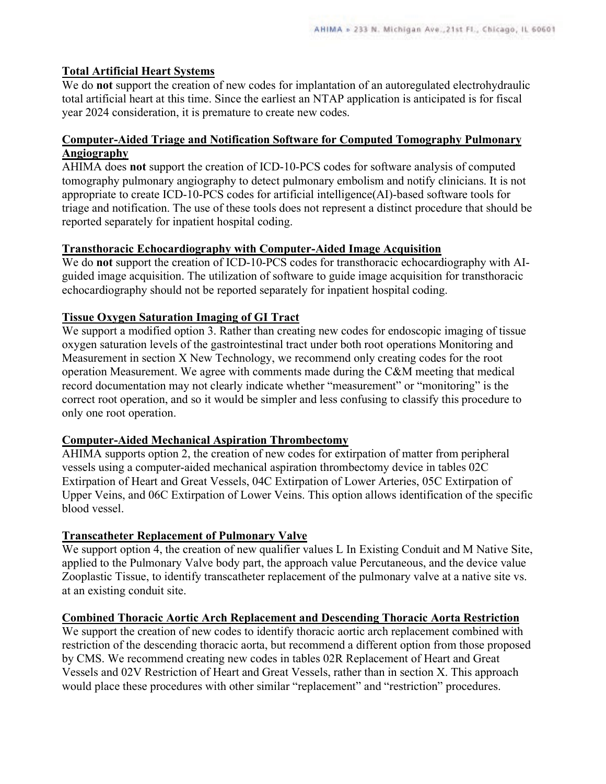# **Total Artificial Heart Systems**

We do **not** support the creation of new codes for implantation of an autoregulated electrohydraulic total artificial heart at this time. Since the earliest an NTAP application is anticipated is for fiscal year 2024 consideration, it is premature to create new codes.

### **Computer-Aided Triage and Notification Software for Computed Tomography Pulmonary Angiography**

AHIMA does **not** support the creation of ICD-10-PCS codes for software analysis of computed tomography pulmonary angiography to detect pulmonary embolism and notify clinicians. It is not appropriate to create ICD-10-PCS codes for artificial intelligence(AI)-based software tools for triage and notification. The use of these tools does not represent a distinct procedure that should be reported separately for inpatient hospital coding.

### **Transthoracic Echocardiography with Computer-Aided Image Acquisition**

We do **not** support the creation of ICD-10-PCS codes for transthoracic echocardiography with AIguided image acquisition. The utilization of software to guide image acquisition for transthoracic echocardiography should not be reported separately for inpatient hospital coding.

### **Tissue Oxygen Saturation Imaging of GI Tract**

We support a modified option 3. Rather than creating new codes for endoscopic imaging of tissue oxygen saturation levels of the gastrointestinal tract under both root operations Monitoring and Measurement in section X New Technology, we recommend only creating codes for the root operation Measurement. We agree with comments made during the C&M meeting that medical record documentation may not clearly indicate whether "measurement" or "monitoring" is the correct root operation, and so it would be simpler and less confusing to classify this procedure to only one root operation.

#### **Computer-Aided Mechanical Aspiration Thrombectomy**

AHIMA supports option 2, the creation of new codes for extirpation of matter from peripheral vessels using a computer-aided mechanical aspiration thrombectomy device in tables 02C Extirpation of Heart and Great Vessels, 04C Extirpation of Lower Arteries, 05C Extirpation of Upper Veins, and 06C Extirpation of Lower Veins. This option allows identification of the specific blood vessel.

# **Transcatheter Replacement of Pulmonary Valve**

We support option 4, the creation of new qualifier values L In Existing Conduit and M Native Site, applied to the Pulmonary Valve body part, the approach value Percutaneous, and the device value Zooplastic Tissue, to identify transcatheter replacement of the pulmonary valve at a native site vs. at an existing conduit site.

# **Combined Thoracic Aortic Arch Replacement and Descending Thoracic Aorta Restriction**

We support the creation of new codes to identify thoracic aortic arch replacement combined with restriction of the descending thoracic aorta, but recommend a different option from those proposed by CMS. We recommend creating new codes in tables 02R Replacement of Heart and Great Vessels and 02V Restriction of Heart and Great Vessels, rather than in section X. This approach would place these procedures with other similar "replacement" and "restriction" procedures.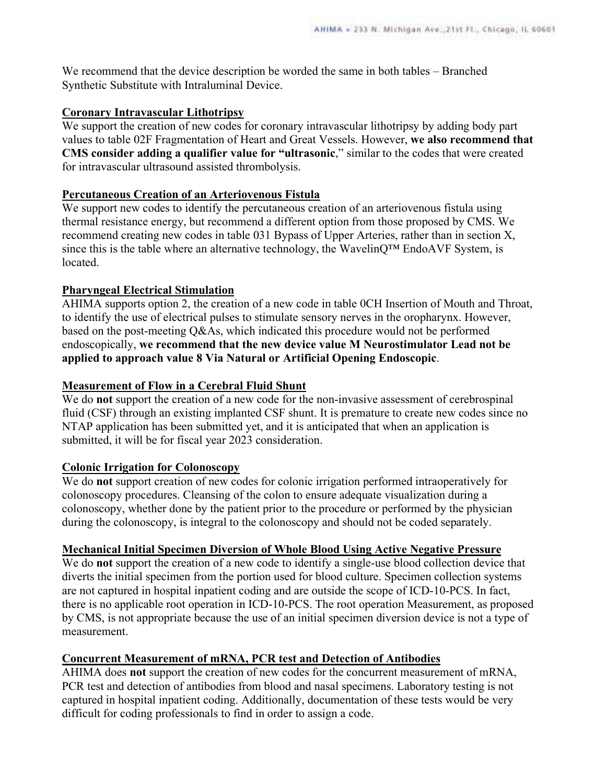We recommend that the device description be worded the same in both tables – Branched Synthetic Substitute with Intraluminal Device.

#### **Coronary Intravascular Lithotripsy**

We support the creation of new codes for coronary intravascular lithotripsy by adding body part values to table 02F Fragmentation of Heart and Great Vessels. However, **we also recommend that CMS consider adding a qualifier value for "ultrasonic**," similar to the codes that were created for intravascular ultrasound assisted thrombolysis.

### **Percutaneous Creation of an Arteriovenous Fistula**

We support new codes to identify the percutaneous creation of an arteriovenous fistula using thermal resistance energy, but recommend a different option from those proposed by CMS. We recommend creating new codes in table 031 Bypass of Upper Arteries, rather than in section X, since this is the table where an alternative technology, the WavelinQ™ EndoAVF System, is located.

# **Pharyngeal Electrical Stimulation**

AHIMA supports option 2, the creation of a new code in table 0CH Insertion of Mouth and Throat, to identify the use of electrical pulses to stimulate sensory nerves in the oropharynx. However, based on the post-meeting Q&As, which indicated this procedure would not be performed endoscopically, **we recommend that the new device value M Neurostimulator Lead not be applied to approach value 8 Via Natural or Artificial Opening Endoscopic**.

### **Measurement of Flow in a Cerebral Fluid Shunt**

We do **not** support the creation of a new code for the non-invasive assessment of cerebrospinal fluid (CSF) through an existing implanted CSF shunt. It is premature to create new codes since no NTAP application has been submitted yet, and it is anticipated that when an application is submitted, it will be for fiscal year 2023 consideration.

# **Colonic Irrigation for Colonoscopy**

We do **not** support creation of new codes for colonic irrigation performed intraoperatively for colonoscopy procedures. Cleansing of the colon to ensure adequate visualization during a colonoscopy, whether done by the patient prior to the procedure or performed by the physician during the colonoscopy, is integral to the colonoscopy and should not be coded separately.

# **Mechanical Initial Specimen Diversion of Whole Blood Using Active Negative Pressure**

We do **not** support the creation of a new code to identify a single-use blood collection device that diverts the initial specimen from the portion used for blood culture. Specimen collection systems are not captured in hospital inpatient coding and are outside the scope of ICD-10-PCS. In fact, there is no applicable root operation in ICD-10-PCS. The root operation Measurement, as proposed by CMS, is not appropriate because the use of an initial specimen diversion device is not a type of measurement.

# **Concurrent Measurement of mRNA, PCR test and Detection of Antibodies**

AHIMA does **not** support the creation of new codes for the concurrent measurement of mRNA, PCR test and detection of antibodies from blood and nasal specimens. Laboratory testing is not captured in hospital inpatient coding. Additionally, documentation of these tests would be very difficult for coding professionals to find in order to assign a code.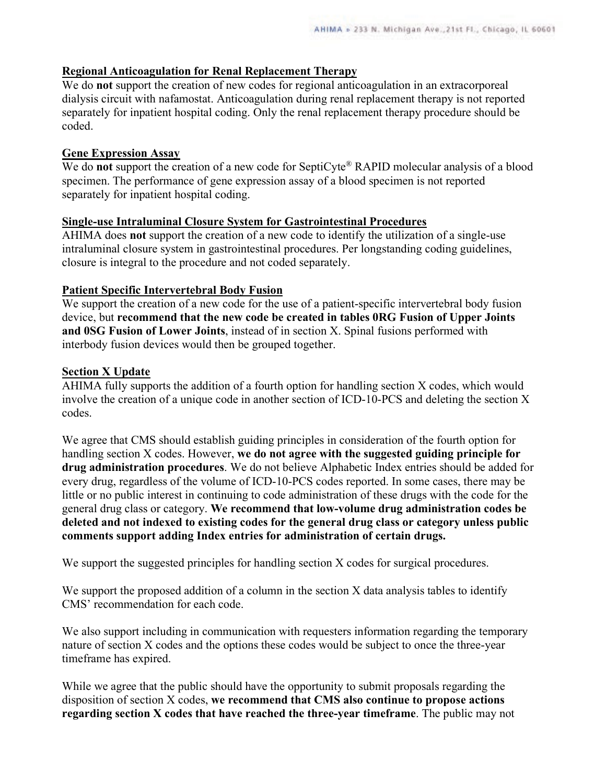### **Regional Anticoagulation for Renal Replacement Therapy**

We do **not** support the creation of new codes for regional anticoagulation in an extracorporeal dialysis circuit with nafamostat. Anticoagulation during renal replacement therapy is not reported separately for inpatient hospital coding. Only the renal replacement therapy procedure should be coded.

### **Gene Expression Assay**

We do **not** support the creation of a new code for SeptiCyte<sup>®</sup> RAPID molecular analysis of a blood specimen. The performance of gene expression assay of a blood specimen is not reported separately for inpatient hospital coding.

### **Single-use Intraluminal Closure System for Gastrointestinal Procedures**

AHIMA does **not** support the creation of a new code to identify the utilization of a single-use intraluminal closure system in gastrointestinal procedures. Per longstanding coding guidelines, closure is integral to the procedure and not coded separately.

### **Patient Specific Intervertebral Body Fusion**

We support the creation of a new code for the use of a patient-specific intervertebral body fusion device, but **recommend that the new code be created in tables 0RG Fusion of Upper Joints and 0SG Fusion of Lower Joints**, instead of in section X. Spinal fusions performed with interbody fusion devices would then be grouped together.

### **Section X Update**

AHIMA fully supports the addition of a fourth option for handling section X codes, which would involve the creation of a unique code in another section of ICD-10-PCS and deleting the section X codes.

We agree that CMS should establish guiding principles in consideration of the fourth option for handling section X codes. However, **we do not agree with the suggested guiding principle for drug administration procedures**. We do not believe Alphabetic Index entries should be added for every drug, regardless of the volume of ICD-10-PCS codes reported. In some cases, there may be little or no public interest in continuing to code administration of these drugs with the code for the general drug class or category. **We recommend that low-volume drug administration codes be deleted and not indexed to existing codes for the general drug class or category unless public comments support adding Index entries for administration of certain drugs.**

We support the suggested principles for handling section X codes for surgical procedures.

We support the proposed addition of a column in the section X data analysis tables to identify CMS' recommendation for each code.

We also support including in communication with requesters information regarding the temporary nature of section X codes and the options these codes would be subject to once the three-year timeframe has expired.

While we agree that the public should have the opportunity to submit proposals regarding the disposition of section X codes, **we recommend that CMS also continue to propose actions regarding section X codes that have reached the three-year timeframe**. The public may not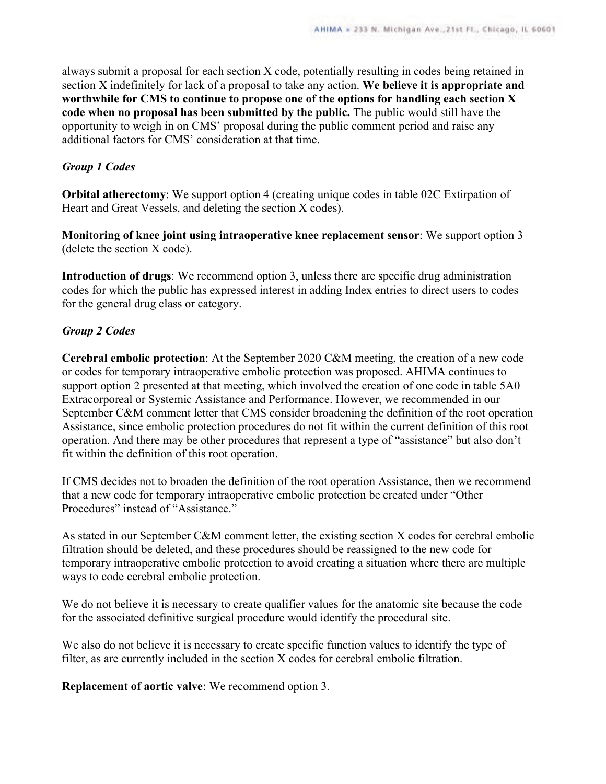always submit a proposal for each section X code, potentially resulting in codes being retained in section X indefinitely for lack of a proposal to take any action. **We believe it is appropriate and worthwhile for CMS to continue to propose one of the options for handling each section X code when no proposal has been submitted by the public.** The public would still have the opportunity to weigh in on CMS' proposal during the public comment period and raise any additional factors for CMS' consideration at that time.

### *Group 1 Codes*

**Orbital atherectomy**: We support option 4 (creating unique codes in table 02C Extirpation of Heart and Great Vessels, and deleting the section X codes).

**Monitoring of knee joint using intraoperative knee replacement sensor**: We support option 3 (delete the section X code).

**Introduction of drugs**: We recommend option 3, unless there are specific drug administration codes for which the public has expressed interest in adding Index entries to direct users to codes for the general drug class or category.

# *Group 2 Codes*

**Cerebral embolic protection**: At the September 2020 C&M meeting, the creation of a new code or codes for temporary intraoperative embolic protection was proposed. AHIMA continues to support option 2 presented at that meeting, which involved the creation of one code in table 5A0 Extracorporeal or Systemic Assistance and Performance. However, we recommended in our September C&M comment letter that CMS consider broadening the definition of the root operation Assistance, since embolic protection procedures do not fit within the current definition of this root operation. And there may be other procedures that represent a type of "assistance" but also don't fit within the definition of this root operation.

If CMS decides not to broaden the definition of the root operation Assistance, then we recommend that a new code for temporary intraoperative embolic protection be created under "Other Procedures" instead of "Assistance."

As stated in our September C&M comment letter, the existing section X codes for cerebral embolic filtration should be deleted, and these procedures should be reassigned to the new code for temporary intraoperative embolic protection to avoid creating a situation where there are multiple ways to code cerebral embolic protection.

We do not believe it is necessary to create qualifier values for the anatomic site because the code for the associated definitive surgical procedure would identify the procedural site.

We also do not believe it is necessary to create specific function values to identify the type of filter, as are currently included in the section X codes for cerebral embolic filtration.

**Replacement of aortic valve**: We recommend option 3.